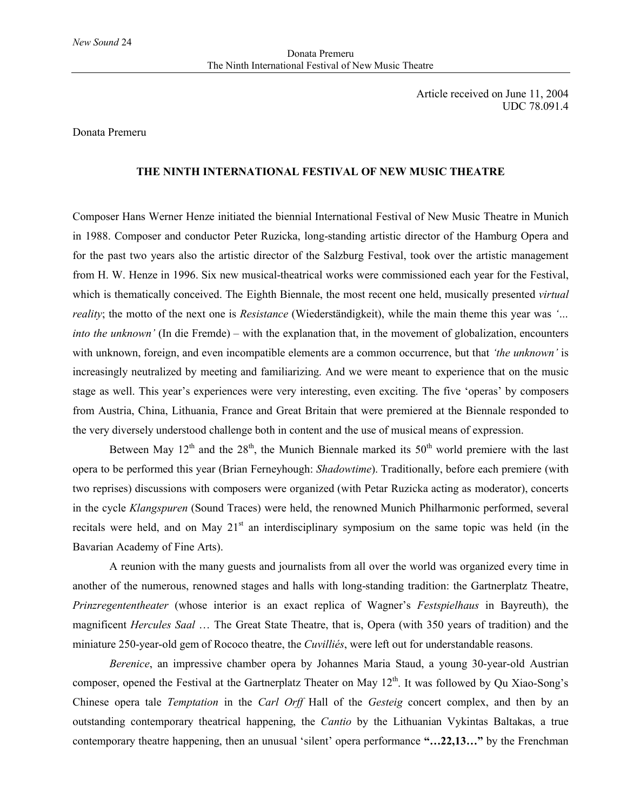Article received on June 11, 2004 UDC 78.091.4

## Donata Premeru

## **THE NINTH INTERNATIONAL FESTIVAL OF NEW MUSIC THEATRE**

Composer Hans Werner Henze initiated the biennial International Festival of New Music Theatre in Munich in 1988. Composer and conductor Peter Ruzicka, long-standing artistic director of the Hamburg Opera and for the past two years also the artistic director of the Salzburg Festival, took over the artistic management from H. W. Henze in 1996. Six new musical-theatrical works were commissioned each year for the Festival, which is thematically conceived. The Eighth Biennale, the most recent one held, musically presented *virtual reality*; the motto of the next one is *Resistance* (Wiederständigkeit), while the main theme this year was *'… into the unknown'* (In die Fremde) – with the explanation that, in the movement of globalization, encounters with unknown, foreign, and even incompatible elements are a common occurrence, but that *'the unknown'* is increasingly neutralized by meeting and familiarizing. And we were meant to experience that on the music stage as well. This year's experiences were very interesting, even exciting. The five 'operas' by composers from Austria, China, Lithuania, France and Great Britain that were premiered at the Biennale responded to the very diversely understood challenge both in content and the use of musical means of expression.

Between May  $12<sup>th</sup>$  and the  $28<sup>th</sup>$ , the Munich Biennale marked its  $50<sup>th</sup>$  world premiere with the last opera to be performed this year (Brian Ferneyhough: *Shadowtime*). Traditionally, before each premiere (with two reprises) discussions with composers were organized (with Petar Ruzicka acting as moderator), concerts in the cycle *Klangspuren* (Sound Traces) were held, the renowned Munich Philharmonic performed, several recitals were held, and on May 21<sup>st</sup> an interdisciplinary symposium on the same topic was held (in the Bavarian Academy of Fine Arts).

A reunion with the many guests and journalists from all over the world was organized every time in another of the numerous, renowned stages and halls with long-standing tradition: the Gartnerplatz Theatre, *Prinzregententheater* (whose interior is an exact replica of Wagner's *Festspielhaus* in Bayreuth), the magnificent *Hercules Saal* … The Great State Theatre, that is, Opera (with 350 years of tradition) and the miniature 250-year-old gem of Rococo theatre, the *Cuvilliés*, were left out for understandable reasons.

*Berenice*, an impressive chamber opera by Johannes Maria Staud, a young 30-year-old Austrian composer, opened the Festival at the Gartnerplatz Theater on May 12<sup>th</sup>. It was followed by Qu Xiao-Song's Chinese opera tale *Temptation* in the *Carl Orff* Hall of the *Gesteig* concert complex, and then by an outstanding contemporary theatrical happening, the *Cantio* by the Lithuanian Vykintas Baltakas, a true contemporary theatre happening, then an unusual 'silent' opera performance **"…22,13…"** by the Frenchman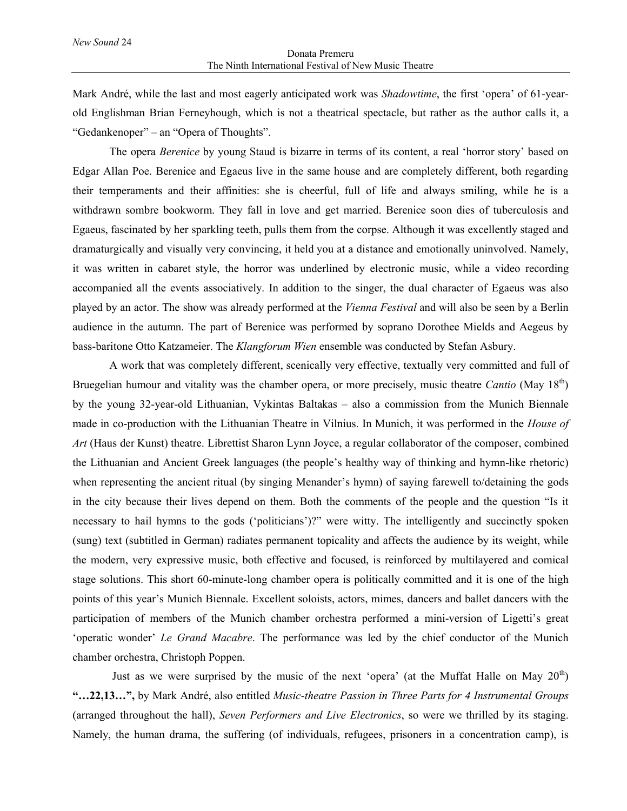Mark André, while the last and most eagerly anticipated work was *Shadowtime*, the first 'opera' of 61-yearold Englishman Brian Ferneyhough, which is not a theatrical spectacle, but rather as the author calls it, a "Gedankenoper" – an "Opera of Thoughts".

The opera *Berenice* by young Staud is bizarre in terms of its content, a real 'horror story' based on Edgar Allan Poe. Berenice and Egaeus live in the same house and are completely different, both regarding their temperaments and their affinities: she is cheerful, full of life and always smiling, while he is a withdrawn sombre bookworm. They fall in love and get married. Berenice soon dies of tuberculosis and Egaeus, fascinated by her sparkling teeth, pulls them from the corpse. Although it was excellently staged and dramaturgically and visually very convincing, it held you at a distance and emotionally uninvolved. Namely, it was written in cabaret style, the horror was underlined by electronic music, while a video recording accompanied all the events associatively. In addition to the singer, the dual character of Egaeus was also played by an actor. The show was already performed at the *Vienna Festival* and will also be seen by a Berlin audience in the autumn. The part of Berenice was performed by soprano Dorothee Mields and Aegeus by bass-baritone Otto Katzameier. The *Klangforum Wien* ensemble was conducted by Stefan Asbury.

A work that was completely different, scenically very effective, textually very committed and full of Bruegelian humour and vitality was the chamber opera, or more precisely, music theatre *Cantio* (May 18th) by the young 32-year-old Lithuanian, Vykintas Baltakas – also a commission from the Munich Biennale made in co-production with the Lithuanian Theatre in Vilnius. In Munich, it was performed in the *House of Art* (Haus der Kunst) theatre. Librettist Sharon Lynn Joyce, a regular collaborator of the composer, combined the Lithuanian and Ancient Greek languages (the people's healthy way of thinking and hymn-like rhetoric) when representing the ancient ritual (by singing Menander's hymn) of saying farewell to/detaining the gods in the city because their lives depend on them. Both the comments of the people and the question "Is it necessary to hail hymns to the gods ('politicians')?" were witty. The intelligently and succinctly spoken (sung) text (subtitled in German) radiates permanent topicality and affects the audience by its weight, while the modern, very expressive music, both effective and focused, is reinforced by multilayered and comical stage solutions. This short 60-minute-long chamber opera is politically committed and it is one of the high points of this year's Munich Biennale. Excellent soloists, actors, mimes, dancers and ballet dancers with the participation of members of the Munich chamber orchestra performed a mini-version of Ligetti's great 'operatic wonder' *Le Grand Macabre*. The performance was led by the chief conductor of the Munich chamber orchestra, Christoph Poppen.

Just as we were surprised by the music of the next 'opera' (at the Muffat Halle on May  $20<sup>th</sup>$ ) **"…22,13…",** by Mark André, also entitled *Music-theatre Passion in Three Parts for 4 Instrumental Groups* (arranged throughout the hall), *Seven Performers and Live Electronics*, so were we thrilled by its staging. Namely, the human drama, the suffering (of individuals, refugees, prisoners in a concentration camp), is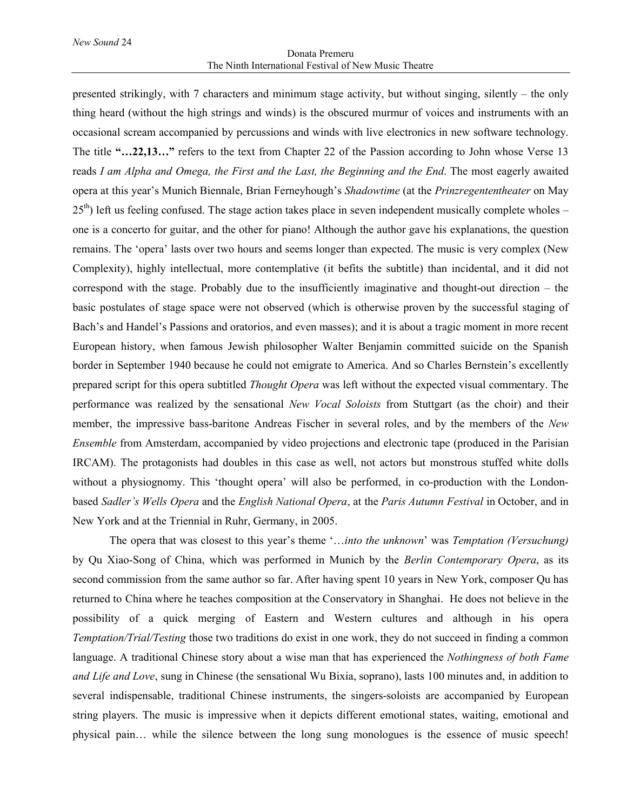## Donata Premeru The Ninth International Festival of New Music Theatre

presented strikingly, with 7 characters and minimum stage activity, but without singing, silently – the only thing heard (without the high strings and winds) is the obscured murmur of voices and instruments with an occasional scream accompanied by percussions and winds with live electronics in new software technology. The title **"…22,13…"** refers to the text from Chapter 22 of the Passion according to John whose Verse 13 reads *I am Alpha and Omega, the First and the Last, the Beginning and the End*. The most eagerly awaited opera at this year's Munich Biennale, Brian Ferneyhough's *Shadowtime* (at the *Prinzregententheater* on May  $25<sup>th</sup>$ ) left us feeling confused. The stage action takes place in seven independent musically complete wholes – one is a concerto for guitar, and the other for piano! Although the author gave his explanations, the question remains. The 'opera' lasts over two hours and seems longer than expected. The music is very complex (New Complexity), highly intellectual, more contemplative (it befits the subtitle) than incidental, and it did not correspond with the stage. Probably due to the insufficiently imaginative and thought-out direction – the basic postulates of stage space were not observed (which is otherwise proven by the successful staging of Bach's and Handel's Passions and oratorios, and even masses); and it is about a tragic moment in more recent European history, when famous Jewish philosopher Walter Benjamin committed suicide on the Spanish border in September 1940 because he could not emigrate to America. And so Charles Bernstein's excellently prepared script for this opera subtitled *Thought Opera* was left without the expected visual commentary. The performance was realized by the sensational *New Vocal Soloists* from Stuttgart (as the choir) and their member, the impressive bass-baritone Andreas Fischer in several roles, and by the members of the *New Ensemble* from Amsterdam, accompanied by video projections and electronic tape (produced in the Parisian IRCAM). The protagonists had doubles in this case as well, not actors but monstrous stuffed white dolls without a physiognomy. This 'thought opera' will also be performed, in co-production with the Londonbased *Sadler's Wells Opera* and the *English National Opera*, at the *Paris Autumn Festival* in October, and in New York and at the Triennial in Ruhr, Germany, in 2005.

The opera that was closest to this year's theme '…*into the unknown*' was *Temptation (Versuchung)* by Qu Xiao-Song of China, which was performed in Munich by the *Berlin Contemporary Opera*, as its second commission from the same author so far. After having spent 10 years in New York, composer Qu has returned to China where he teaches composition at the Conservatory in Shanghai. He does not believe in the possibility of a quick merging of Eastern and Western cultures and although in his opera *Temptation/Trial/Testing* those two traditions do exist in one work, they do not succeed in finding a common language. A traditional Chinese story about a wise man that has experienced the *Nothingness of both Fame and Life and Love*, sung in Chinese (the sensational Wu Bixia, soprano), lasts 100 minutes and, in addition to several indispensable, traditional Chinese instruments, the singers-soloists are accompanied by European string players. The music is impressive when it depicts different emotional states, waiting, emotional and physical pain… while the silence between the long sung monologues is the essence of music speech!